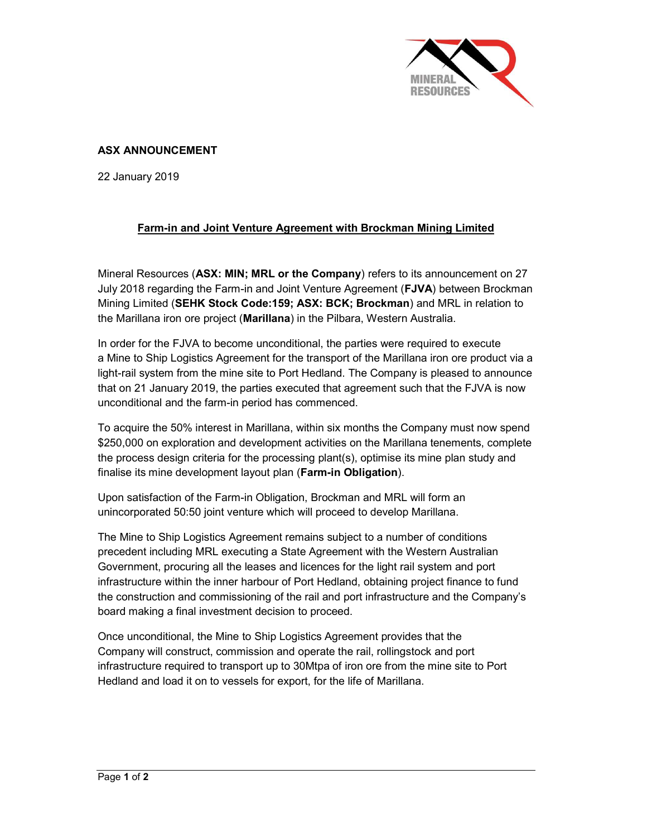

## ASX ANNOUNCEMENT

22 January 2019

## Farm-in and Joint Venture Agreement with Brockman Mining Limited

Mineral Resources (ASX: MIN; MRL or the Company) refers to its announcement on 27 July 2018 regarding the Farm-in and Joint Venture Agreement (FJVA) between Brockman Mining Limited (SEHK Stock Code:159; ASX: BCK; Brockman) and MRL in relation to the Marillana iron ore project (Marillana) in the Pilbara, Western Australia.

In order for the FJVA to become unconditional, the parties were required to execute a Mine to Ship Logistics Agreement for the transport of the Marillana iron ore product via a light-rail system from the mine site to Port Hedland. The Company is pleased to announce that on 21 January 2019, the parties executed that agreement such that the FJVA is now unconditional and the farm-in period has commenced.

To acquire the 50% interest in Marillana, within six months the Company must now spend \$250,000 on exploration and development activities on the Marillana tenements, complete the process design criteria for the processing plant(s), optimise its mine plan study and finalise its mine development layout plan (Farm-in Obligation).

Upon satisfaction of the Farm-in Obligation, Brockman and MRL will form an unincorporated 50:50 joint venture which will proceed to develop Marillana.

The Mine to Ship Logistics Agreement remains subject to a number of conditions precedent including MRL executing a State Agreement with the Western Australian Government, procuring all the leases and licences for the light rail system and port infrastructure within the inner harbour of Port Hedland, obtaining project finance to fund the construction and commissioning of the rail and port infrastructure and the Company's board making a final investment decision to proceed.

Once unconditional, the Mine to Ship Logistics Agreement provides that the Company will construct, commission and operate the rail, rollingstock and port infrastructure required to transport up to 30Mtpa of iron ore from the mine site to Port Hedland and load it on to vessels for export, for the life of Marillana.